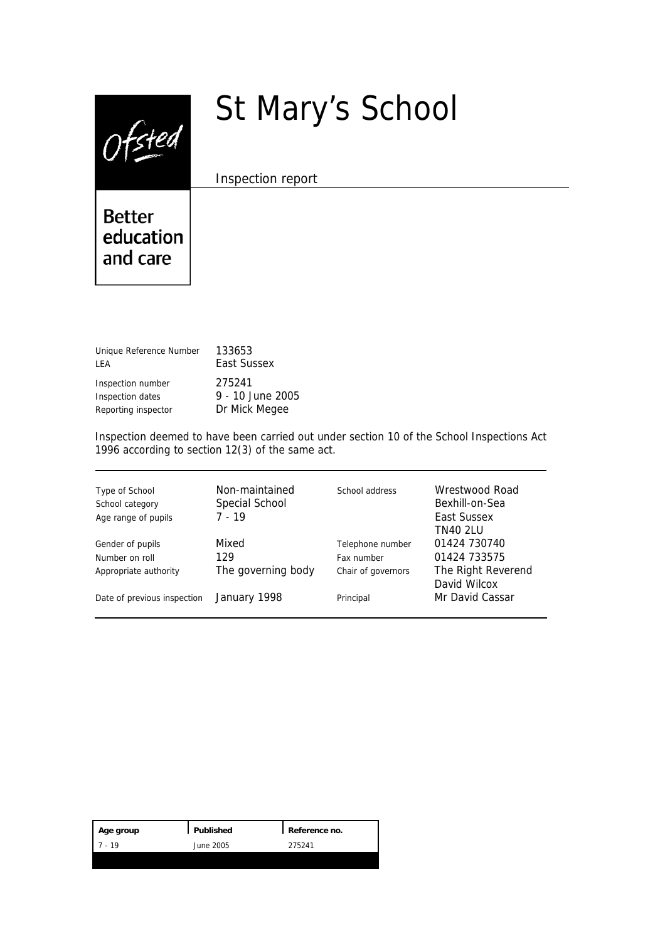$0$ fsted

# St Mary's School

Inspection report

**Better** education and care

| Unique Reference Number | 133653           |
|-------------------------|------------------|
| LEA                     | East Sussex      |
| Inspection number       | 275241           |
| Inspection dates        | 9 - 10 June 2005 |
| Reporting inspector     | Dr Mick Megee    |

Inspection deemed to have been carried out under section 10 of the School Inspections Act 1996 according to section 12(3) of the same act.

| Type of School<br>School category<br>Age range of pupils | Non-maintained<br>Special School<br>$7 - 19$ | School address     | Wrestwood Road<br>Bexhill-on-Sea<br>East Sussex<br><b>TN40 2LU</b> |
|----------------------------------------------------------|----------------------------------------------|--------------------|--------------------------------------------------------------------|
| Gender of pupils                                         | Mixed                                        | Telephone number   | 01424 730740                                                       |
| Number on roll                                           | 129                                          | Fax number         | 01424 733575                                                       |
| Appropriate authority                                    | The governing body                           | Chair of governors | The Right Reverend<br>David Wilcox                                 |
| Date of previous inspection                              | January 1998                                 | Principal          | Mr David Cassar                                                    |

| Age group | Published | Reference no. |
|-----------|-----------|---------------|
| - 19      | June 2005 | 275241        |
|           |           |               |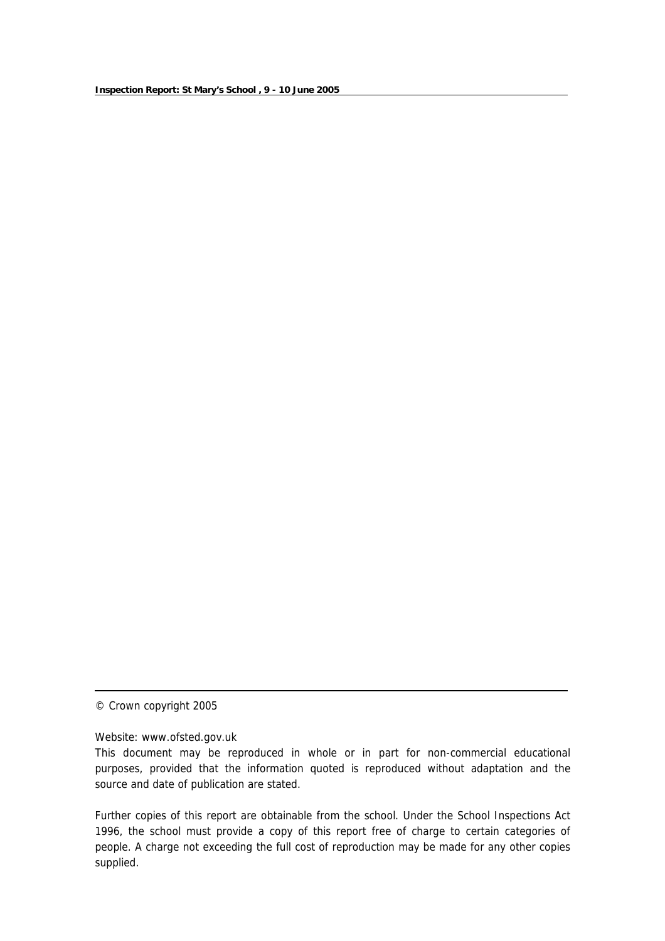© Crown copyright 2005

Website: www.ofsted.gov.uk

Further copies of this report are obtainable from the school. Under the School Inspections Act 1996, the school must provide a copy of this report free of charge to certain categories of people. A charge not exceeding the full cost of reproduction may be made for any other copies supplied.

This document may be reproduced in whole or in part for non-commercial educational purposes, provided that the information quoted is reproduced without adaptation and the source and date of publication are stated.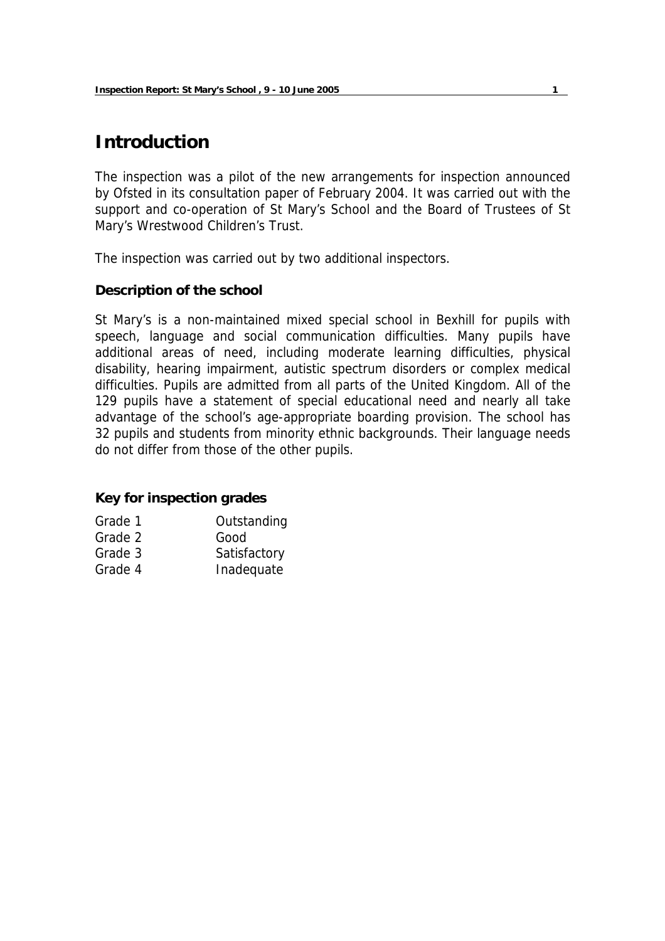# **Introduction**

The inspection was a pilot of the new arrangements for inspection announced by Ofsted in its consultation paper of February 2004. It was carried out with the support and co-operation of St Mary's School and the Board of Trustees of St Mary's Wrestwood Children's Trust.

The inspection was carried out by two additional inspectors.

## **Description of the school**

St Mary's is a non-maintained mixed special school in Bexhill for pupils with speech, language and social communication difficulties. Many pupils have additional areas of need, including moderate learning difficulties, physical disability, hearing impairment, autistic spectrum disorders or complex medical difficulties. Pupils are admitted from all parts of the United Kingdom. All of the 129 pupils have a statement of special educational need and nearly all take advantage of the school's age-appropriate boarding provision. The school has 32 pupils and students from minority ethnic backgrounds. Their language needs do not differ from those of the other pupils.

## **Key for inspection grades**

| Grade 1 | Outstanding  |
|---------|--------------|
| Grade 2 | Good         |
| Grade 3 | Satisfactory |
| Grade 4 | Inadequate   |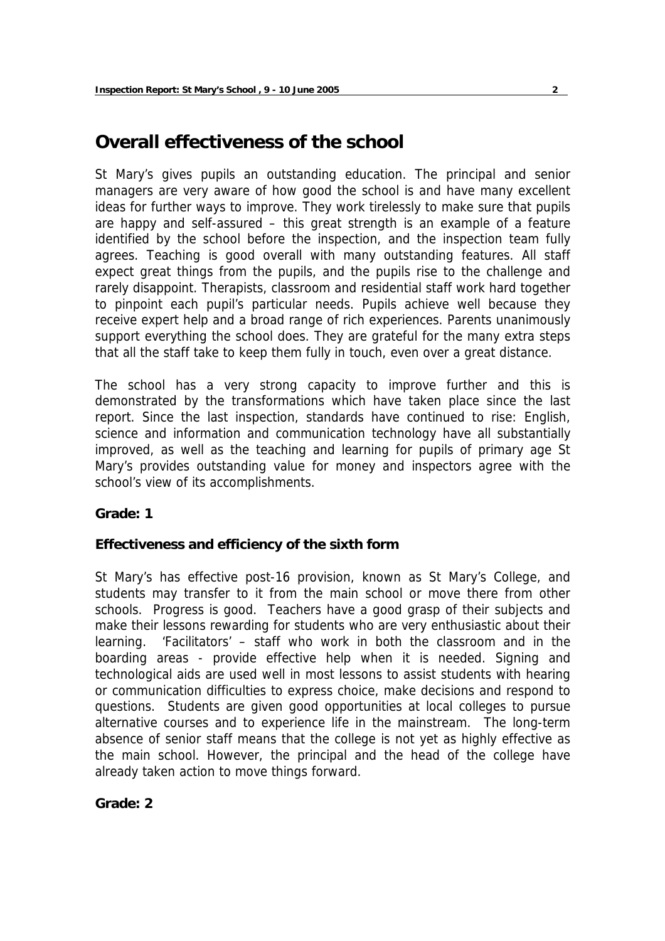# **Overall effectiveness of the school**

St Mary's gives pupils an outstanding education. The principal and senior managers are very aware of how good the school is and have many excellent ideas for further ways to improve. They work tirelessly to make sure that pupils are happy and self-assured – this great strength is an example of a feature identified by the school before the inspection, and the inspection team fully agrees. Teaching is good overall with many outstanding features. All staff expect great things from the pupils, and the pupils rise to the challenge and rarely disappoint. Therapists, classroom and residential staff work hard together to pinpoint each pupil's particular needs. Pupils achieve well because they receive expert help and a broad range of rich experiences. Parents unanimously support everything the school does. They are grateful for the many extra steps that all the staff take to keep them fully in touch, even over a great distance.

The school has a very strong capacity to improve further and this is demonstrated by the transformations which have taken place since the last report. Since the last inspection, standards have continued to rise: English, science and information and communication technology have all substantially improved, as well as the teaching and learning for pupils of primary age St Mary's provides outstanding value for money and inspectors agree with the school's view of its accomplishments.

## **Grade: 1**

## **Effectiveness and efficiency of the sixth form**

St Mary's has effective post-16 provision, known as St Mary's College, and students may transfer to it from the main school or move there from other schools. Progress is good. Teachers have a good grasp of their subjects and make their lessons rewarding for students who are very enthusiastic about their learning. 'Facilitators' – staff who work in both the classroom and in the boarding areas - provide effective help when it is needed. Signing and technological aids are used well in most lessons to assist students with hearing or communication difficulties to express choice, make decisions and respond to questions. Students are given good opportunities at local colleges to pursue alternative courses and to experience life in the mainstream. The long-term absence of senior staff means that the college is not yet as highly effective as the main school. However, the principal and the head of the college have already taken action to move things forward.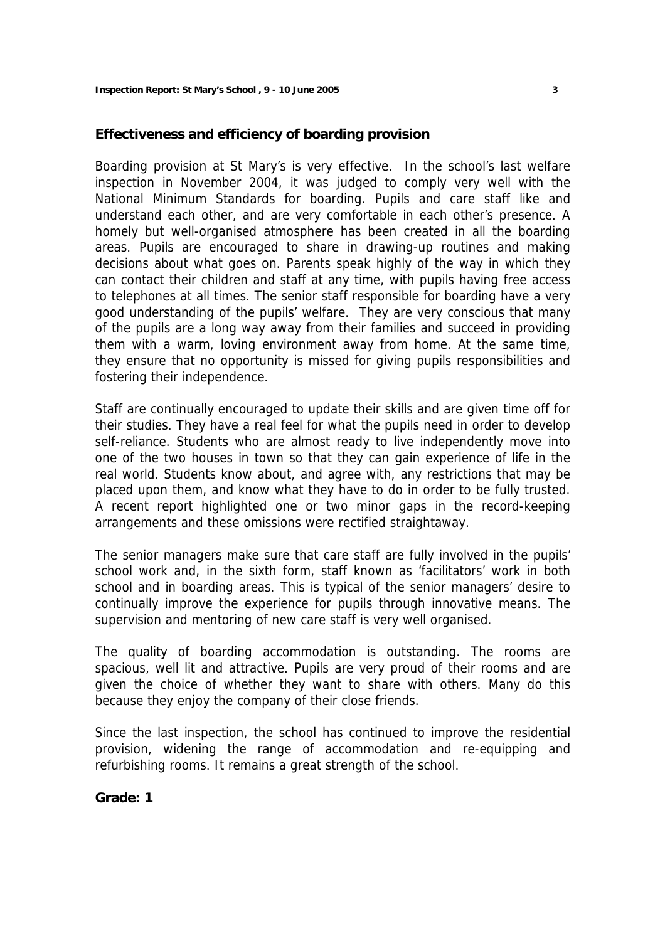## **Effectiveness and efficiency of boarding provision**

Boarding provision at St Mary's is very effective. In the school's last welfare inspection in November 2004, it was judged to comply very well with the National Minimum Standards for boarding. Pupils and care staff like and understand each other, and are very comfortable in each other's presence. A homely but well-organised atmosphere has been created in all the boarding areas. Pupils are encouraged to share in drawing-up routines and making decisions about what goes on. Parents speak highly of the way in which they can contact their children and staff at any time, with pupils having free access to telephones at all times. The senior staff responsible for boarding have a very good understanding of the pupils' welfare. They are very conscious that many of the pupils are a long way away from their families and succeed in providing them with a warm, loving environment away from home. At the same time, they ensure that no opportunity is missed for giving pupils responsibilities and fostering their independence.

Staff are continually encouraged to update their skills and are given time off for their studies. They have a real feel for what the pupils need in order to develop self-reliance. Students who are almost ready to live independently move into one of the two houses in town so that they can gain experience of life in the real world. Students know about, and agree with, any restrictions that may be placed upon them, and know what they have to do in order to be fully trusted. A recent report highlighted one or two minor gaps in the record-keeping arrangements and these omissions were rectified straightaway.

The senior managers make sure that care staff are fully involved in the pupils' school work and, in the sixth form, staff known as 'facilitators' work in both school and in boarding areas. This is typical of the senior managers' desire to continually improve the experience for pupils through innovative means. The supervision and mentoring of new care staff is very well organised.

The quality of boarding accommodation is outstanding. The rooms are spacious, well lit and attractive. Pupils are very proud of their rooms and are given the choice of whether they want to share with others. Many do this because they enjoy the company of their close friends.

Since the last inspection, the school has continued to improve the residential provision, widening the range of accommodation and re-equipping and refurbishing rooms. It remains a great strength of the school.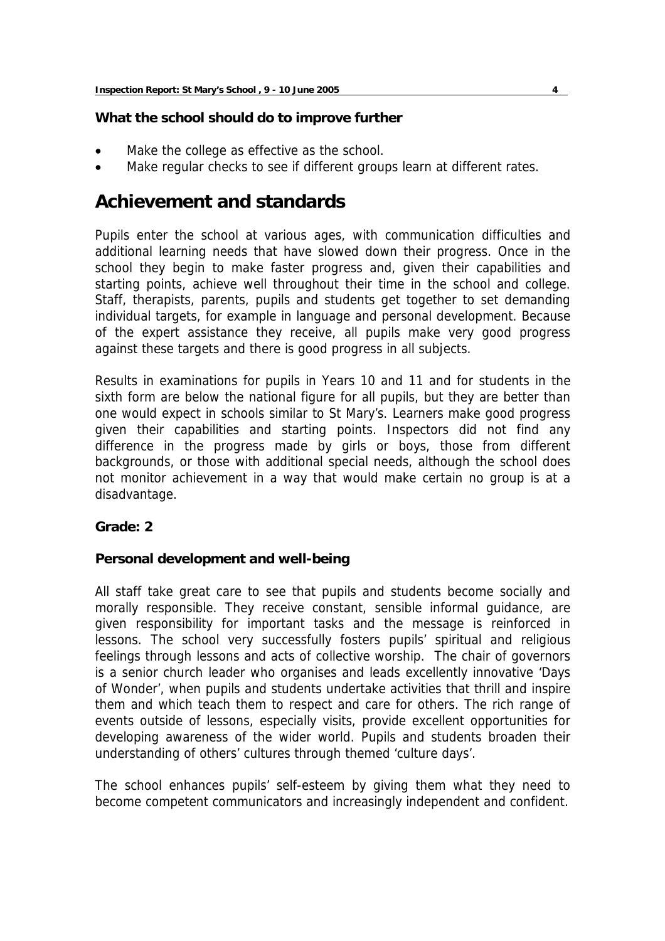## **What the school should do to improve further**

- Make the college as effective as the school.
- Make regular checks to see if different groups learn at different rates.

# **Achievement and standards**

Pupils enter the school at various ages, with communication difficulties and additional learning needs that have slowed down their progress. Once in the school they begin to make faster progress and, given their capabilities and starting points, achieve well throughout their time in the school and college. Staff, therapists, parents, pupils and students get together to set demanding individual targets, for example in language and personal development. Because of the expert assistance they receive, all pupils make very good progress against these targets and there is good progress in all subjects.

Results in examinations for pupils in Years 10 and 11 and for students in the sixth form are below the national figure for all pupils, but they are better than one would expect in schools similar to St Mary's. Learners make good progress given their capabilities and starting points. Inspectors did not find any difference in the progress made by girls or boys, those from different backgrounds, or those with additional special needs, although the school does not monitor achievement in a way that would make certain no group is at a disadvantage.

## **Grade: 2**

## **Personal development and well-being**

All staff take great care to see that pupils and students become socially and morally responsible. They receive constant, sensible informal guidance, are given responsibility for important tasks and the message is reinforced in lessons. The school very successfully fosters pupils' spiritual and religious feelings through lessons and acts of collective worship. The chair of governors is a senior church leader who organises and leads excellently innovative 'Days of Wonder', when pupils and students undertake activities that thrill and inspire them and which teach them to respect and care for others. The rich range of events outside of lessons, especially visits, provide excellent opportunities for developing awareness of the wider world. Pupils and students broaden their understanding of others' cultures through themed 'culture days'.

The school enhances pupils' self-esteem by giving them what they need to become competent communicators and increasingly independent and confident.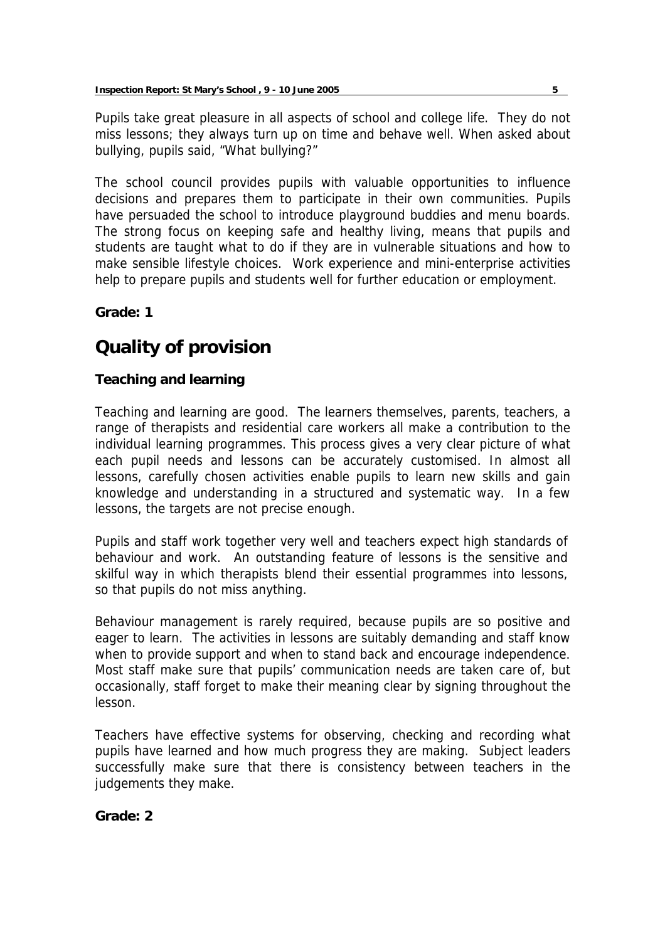Pupils take great pleasure in all aspects of school and college life. They do not miss lessons; they always turn up on time and behave well. When asked about bullying, pupils said, "What bullying?"

The school council provides pupils with valuable opportunities to influence decisions and prepares them to participate in their own communities. Pupils have persuaded the school to introduce playground buddies and menu boards. The strong focus on keeping safe and healthy living, means that pupils and students are taught what to do if they are in vulnerable situations and how to make sensible lifestyle choices. Work experience and mini-enterprise activities help to prepare pupils and students well for further education or employment.

## **Grade: 1**

# **Quality of provision**

## **Teaching and learning**

Teaching and learning are good. The learners themselves, parents, teachers, a range of therapists and residential care workers all make a contribution to the individual learning programmes. This process gives a very clear picture of what each pupil needs and lessons can be accurately customised. In almost all lessons, carefully chosen activities enable pupils to learn new skills and gain knowledge and understanding in a structured and systematic way. In a few lessons, the targets are not precise enough.

Pupils and staff work together very well and teachers expect high standards of behaviour and work. An outstanding feature of lessons is the sensitive and skilful way in which therapists blend their essential programmes into lessons, so that pupils do not miss anything.

Behaviour management is rarely required, because pupils are so positive and eager to learn. The activities in lessons are suitably demanding and staff know when to provide support and when to stand back and encourage independence. Most staff make sure that pupils' communication needs are taken care of, but occasionally, staff forget to make their meaning clear by signing throughout the lesson.

Teachers have effective systems for observing, checking and recording what pupils have learned and how much progress they are making. Subject leaders successfully make sure that there is consistency between teachers in the judgements they make.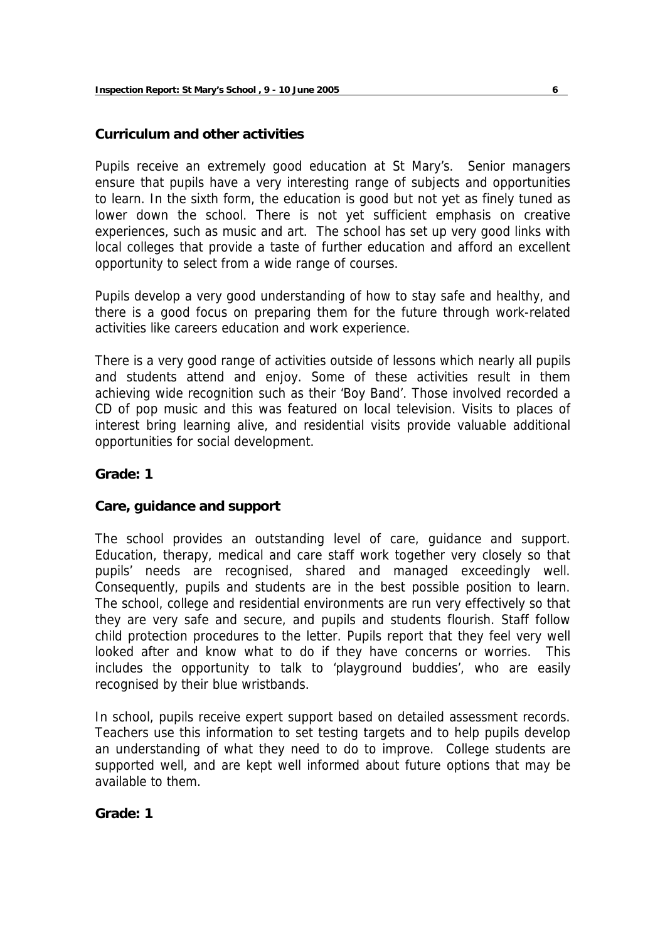## **Curriculum and other activities**

Pupils receive an extremely good education at St Mary's. Senior managers ensure that pupils have a very interesting range of subjects and opportunities to learn. In the sixth form, the education is good but not yet as finely tuned as lower down the school. There is not yet sufficient emphasis on creative experiences, such as music and art. The school has set up very good links with local colleges that provide a taste of further education and afford an excellent opportunity to select from a wide range of courses.

Pupils develop a very good understanding of how to stay safe and healthy, and there is a good focus on preparing them for the future through work-related activities like careers education and work experience.

There is a very good range of activities outside of lessons which nearly all pupils and students attend and enjoy. Some of these activities result in them achieving wide recognition such as their 'Boy Band'. Those involved recorded a CD of pop music and this was featured on local television. Visits to places of interest bring learning alive, and residential visits provide valuable additional opportunities for social development.

## **Grade: 1**

## **Care, guidance and support**

The school provides an outstanding level of care, guidance and support. Education, therapy, medical and care staff work together very closely so that pupils' needs are recognised, shared and managed exceedingly well. Consequently, pupils and students are in the best possible position to learn. The school, college and residential environments are run very effectively so that they are very safe and secure, and pupils and students flourish. Staff follow child protection procedures to the letter. Pupils report that they feel very well looked after and know what to do if they have concerns or worries. This includes the opportunity to talk to 'playground buddies', who are easily recognised by their blue wristbands.

In school, pupils receive expert support based on detailed assessment records. Teachers use this information to set testing targets and to help pupils develop an understanding of what they need to do to improve. College students are supported well, and are kept well informed about future options that may be available to them.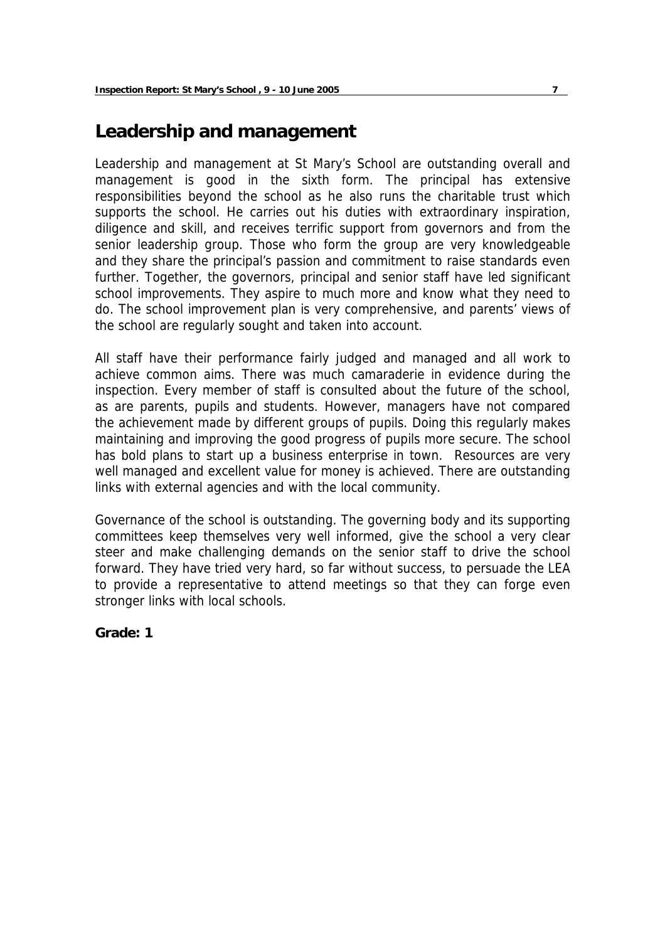## **Leadership and management**

Leadership and management at St Mary's School are outstanding overall and management is good in the sixth form. The principal has extensive responsibilities beyond the school as he also runs the charitable trust which supports the school. He carries out his duties with extraordinary inspiration, diligence and skill, and receives terrific support from governors and from the senior leadership group. Those who form the group are very knowledgeable and they share the principal's passion and commitment to raise standards even further. Together, the governors, principal and senior staff have led significant school improvements. They aspire to much more and know what they need to do. The school improvement plan is very comprehensive, and parents' views of the school are regularly sought and taken into account.

All staff have their performance fairly judged and managed and all work to achieve common aims. There was much camaraderie in evidence during the inspection. Every member of staff is consulted about the future of the school, as are parents, pupils and students. However, managers have not compared the achievement made by different groups of pupils. Doing this regularly makes maintaining and improving the good progress of pupils more secure. The school has bold plans to start up a business enterprise in town. Resources are very well managed and excellent value for money is achieved. There are outstanding links with external agencies and with the local community.

Governance of the school is outstanding. The governing body and its supporting committees keep themselves very well informed, give the school a very clear steer and make challenging demands on the senior staff to drive the school forward. They have tried very hard, so far without success, to persuade the LEA to provide a representative to attend meetings so that they can forge even stronger links with local schools.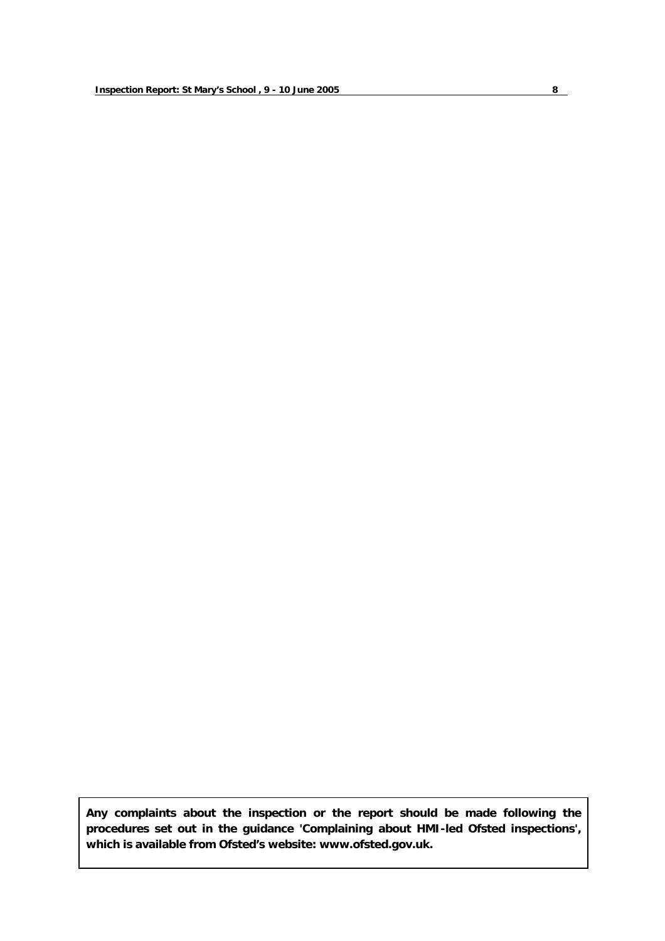**Any complaints about the inspection or the report should be made following the procedures set out in the guidance 'Complaining about HMI-led Ofsted inspections', which is available from Ofsted's website: www.ofsted.gov.uk.**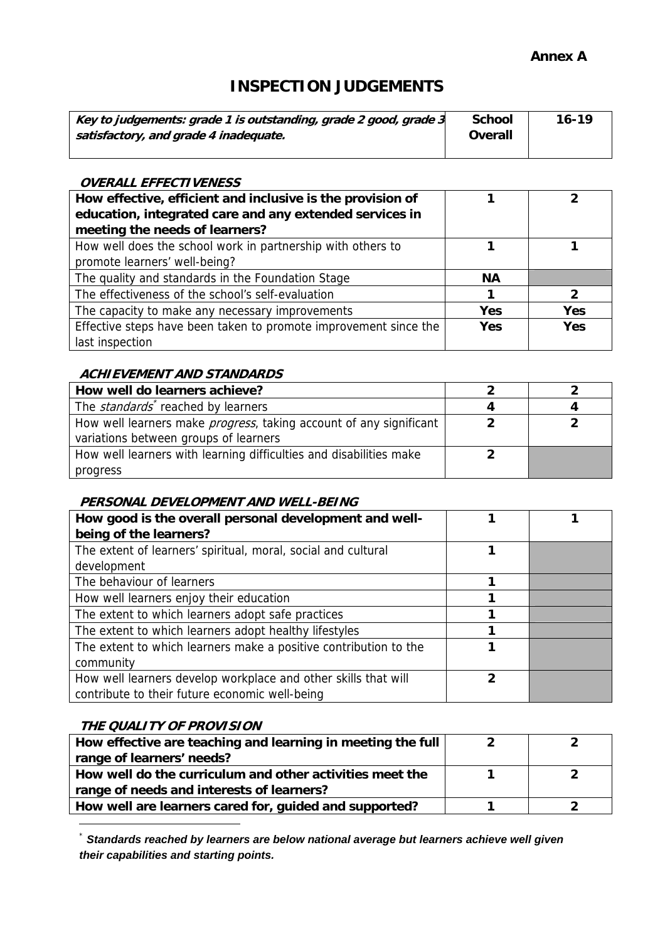## **Annex A**

## **INSPECTION JUDGEMENTS**

| Key to judgements: grade 1 is outstanding, grade 2 good, grade 3<br>satisfactory, and grade 4 inadequate. | <b>School</b><br>Overall | $16 - 19$ |
|-----------------------------------------------------------------------------------------------------------|--------------------------|-----------|
|-----------------------------------------------------------------------------------------------------------|--------------------------|-----------|

#### **OVERALL EFFECTIVENESS**

| How effective, efficient and inclusive is the provision of<br>education, integrated care and any extended services in<br>meeting the needs of learners? |            |            |
|---------------------------------------------------------------------------------------------------------------------------------------------------------|------------|------------|
| How well does the school work in partnership with others to                                                                                             |            |            |
| promote learners' well-being?                                                                                                                           |            |            |
| The quality and standards in the Foundation Stage                                                                                                       | <b>NA</b>  |            |
| The effectiveness of the school's self-evaluation                                                                                                       |            |            |
| The capacity to make any necessary improvements                                                                                                         | Yes        | <b>Yes</b> |
| Effective steps have been taken to promote improvement since the                                                                                        | <b>Yes</b> | <b>Yes</b> |
| last inspection                                                                                                                                         |            |            |

## **ACHIEVEMENT AND STANDARDS**

| How well do learners achieve?                                              |  |
|----------------------------------------------------------------------------|--|
| The <i>standards</i> <sup>*</sup> reached by learners                      |  |
| How well learners make <i>progress</i> , taking account of any significant |  |
| variations between groups of learners                                      |  |
| How well learners with learning difficulties and disabilities make         |  |
| progress                                                                   |  |

#### **PERSONAL DEVELOPMENT AND WELL-BEING**

| How good is the overall personal development and well-<br>being of the learners?                                 |                |  |
|------------------------------------------------------------------------------------------------------------------|----------------|--|
| The extent of learners' spiritual, moral, social and cultural<br>development                                     |                |  |
| The behaviour of learners                                                                                        |                |  |
| How well learners enjoy their education                                                                          |                |  |
| The extent to which learners adopt safe practices                                                                |                |  |
| The extent to which learners adopt healthy lifestyles                                                            |                |  |
| The extent to which learners make a positive contribution to the<br>community                                    |                |  |
| How well learners develop workplace and other skills that will<br>contribute to their future economic well-being | $\mathfrak{p}$ |  |

## **THE QUALITY OF PROVISION**

| How effective are teaching and learning in meeting the full |  |
|-------------------------------------------------------------|--|
| range of learners' needs?                                   |  |
| How well do the curriculum and other activities meet the    |  |
| range of needs and interests of learners?                   |  |
| How well are learners cared for, guided and supported?      |  |

<sup>\*</sup> *Standards reached by learners are below national average but learners achieve well given their capabilities and starting points.*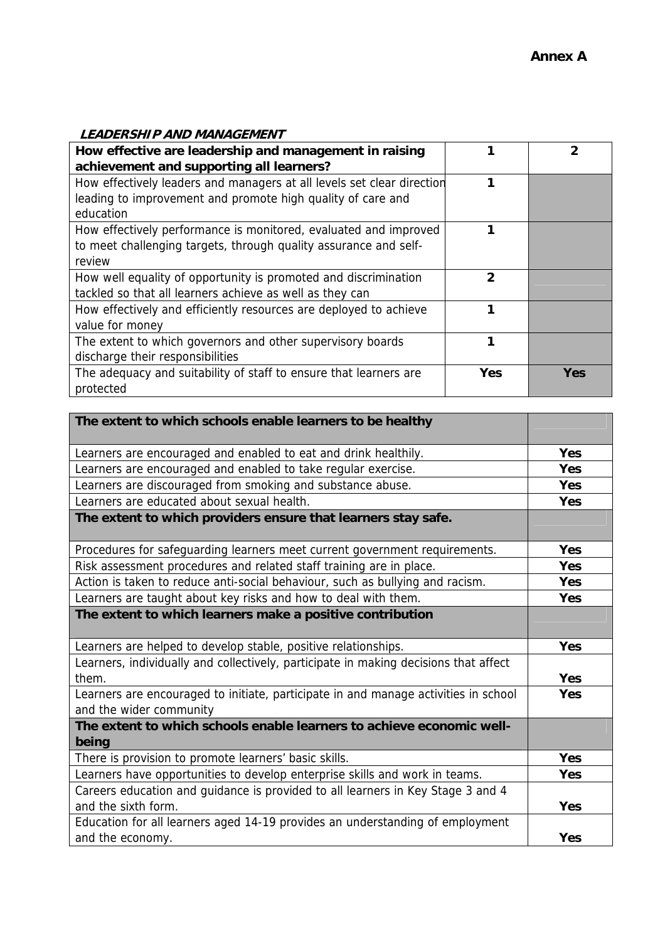| <b>LEADERSHIP AND MANAGEMENT</b>                                       |     |            |
|------------------------------------------------------------------------|-----|------------|
| How effective are leadership and management in raising                 |     | 2          |
| achievement and supporting all learners?                               |     |            |
| How effectively leaders and managers at all levels set clear direction |     |            |
| leading to improvement and promote high quality of care and            |     |            |
| education                                                              |     |            |
| How effectively performance is monitored, evaluated and improved       |     |            |
| to meet challenging targets, through quality assurance and self-       |     |            |
| review                                                                 |     |            |
| How well equality of opportunity is promoted and discrimination        | 2   |            |
| tackled so that all learners achieve as well as they can               |     |            |
| How effectively and efficiently resources are deployed to achieve      |     |            |
| value for money                                                        |     |            |
| The extent to which governors and other supervisory boards             |     |            |
| discharge their responsibilities                                       |     |            |
| The adequacy and suitability of staff to ensure that learners are      | Yes | <b>Yes</b> |
| protected                                                              |     |            |

| The extent to which schools enable learners to be healthy                                                      |            |
|----------------------------------------------------------------------------------------------------------------|------------|
| Learners are encouraged and enabled to eat and drink healthily.                                                | <b>Yes</b> |
| Learners are encouraged and enabled to take regular exercise.                                                  | <b>Yes</b> |
| Learners are discouraged from smoking and substance abuse.                                                     | <b>Yes</b> |
| Learners are educated about sexual health.                                                                     | <b>Yes</b> |
| The extent to which providers ensure that learners stay safe.                                                  |            |
| Procedures for safeguarding learners meet current government requirements.                                     | <b>Yes</b> |
| Risk assessment procedures and related staff training are in place.                                            | <b>Yes</b> |
| Action is taken to reduce anti-social behaviour, such as bullying and racism.                                  | <b>Yes</b> |
| Learners are taught about key risks and how to deal with them.                                                 | <b>Yes</b> |
| The extent to which learners make a positive contribution                                                      |            |
| Learners are helped to develop stable, positive relationships.                                                 | Yes        |
| Learners, individually and collectively, participate in making decisions that affect<br>them.                  | <b>Yes</b> |
| Learners are encouraged to initiate, participate in and manage activities in school<br>and the wider community | Yes        |
| The extent to which schools enable learners to achieve economic well-<br>being                                 |            |
| There is provision to promote learners' basic skills.                                                          | <b>Yes</b> |
| Learners have opportunities to develop enterprise skills and work in teams.                                    | Yes        |
| Careers education and guidance is provided to all learners in Key Stage 3 and 4                                |            |
| and the sixth form.                                                                                            | <b>Yes</b> |
| Education for all learners aged 14-19 provides an understanding of employment                                  |            |
| and the economy.                                                                                               | Yes        |